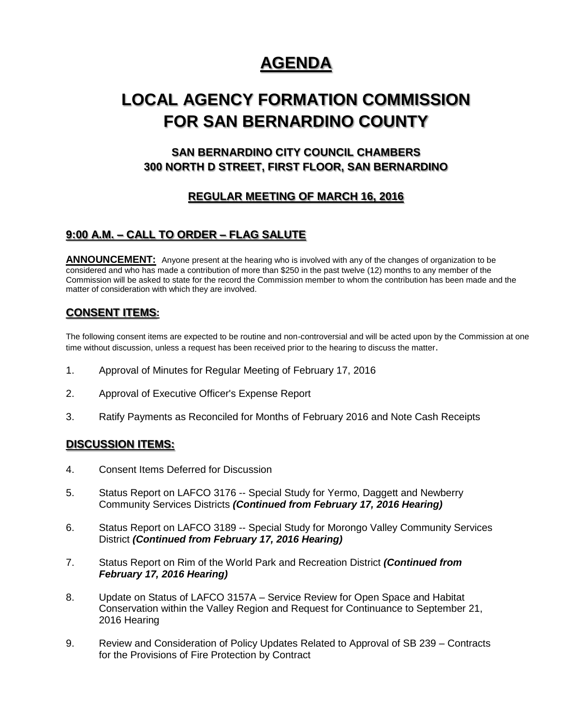# **AGENDA**

# **LOCAL AGENCY FORMATION COMMISSION FOR SAN BERNARDINO COUNTY**

# **SAN BERNARDINO CITY COUNCIL CHAMBERS 300 NORTH D STREET, FIRST FLOOR, SAN BERNARDINO**

## **REGULAR MEETING OF MARCH 16, 2016**

## **9:00 A.M. – CALL TO ORDER – FLAG SALUTE**

ANNOUNCEMENT: Anyone present at the hearing who is involved with any of the changes of organization to be considered and who has made a contribution of more than \$250 in the past twelve (12) months to any member of the Commission will be asked to state for the record the Commission member to whom the contribution has been made and the matter of consideration with which they are involved.

### **CONSENT ITEMS:**

The following consent items are expected to be routine and non-controversial and will be acted upon by the Commission at one time without discussion, unless a request has been received prior to the hearing to discuss the matter.

- 1. Approval of Minutes for Regular Meeting of February 17, 2016
- 2. Approval of Executive Officer's Expense Report
- 3. Ratify Payments as Reconciled for Months of February 2016 and Note Cash Receipts

### **DISCUSSION ITEMS:**

- 4. Consent Items Deferred for Discussion
- 5. Status Report on LAFCO 3176 -- Special Study for Yermo, Daggett and Newberry Community Services Districts *(Continued from February 17, 2016 Hearing)*
- 6. Status Report on LAFCO 3189 -- Special Study for Morongo Valley Community Services District *(Continued from February 17, 2016 Hearing)*
- 7. Status Report on Rim of the World Park and Recreation District *(Continued from February 17, 2016 Hearing)*
- 8. Update on Status of LAFCO 3157A Service Review for Open Space and Habitat Conservation within the Valley Region and Request for Continuance to September 21, 2016 Hearing
- 9. Review and Consideration of Policy Updates Related to Approval of SB 239 Contracts for the Provisions of Fire Protection by Contract